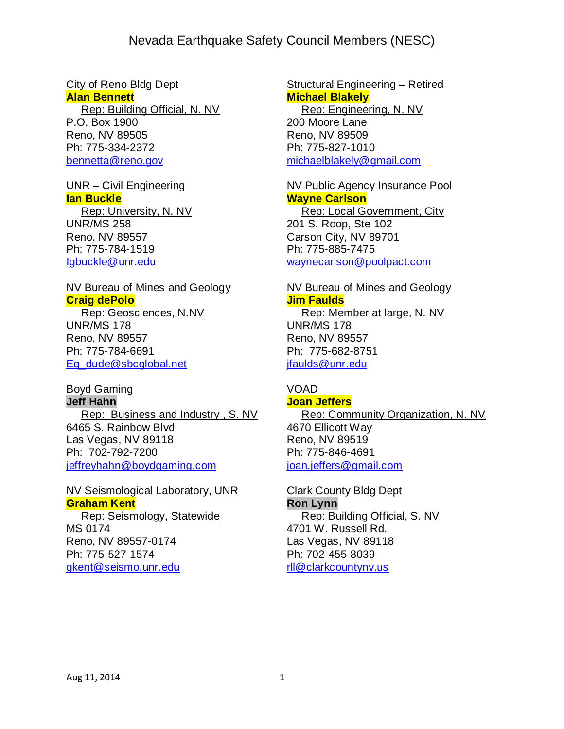City of Reno Bldg Dept **Alan Bennett** Rep: Building Official, N. NV

P.O. Box 1900 Reno, NV 89505 Ph: 775-334-2372 [bennetta@reno.gov](mailto:bennetta@reno.gov)

UNR – Civil Engineering **Ian Buckle**

 Rep: University, N. NV UNR/MS 258 Reno, NV 89557 Ph: 775-784-1519 [Igbuckle@unr.edu](mailto:Igbuckle@unr.edu)

## NV Bureau of Mines and Geology **Craig dePolo**

 Rep: Geosciences, N.NV UNR/MS 178 Reno, NV 89557 Ph: 775-784-6691 [Eq\\_dude@sbcglobal.net](mailto:Eq_dude@sbcglobal.net)

#### Boyd Gaming **Jeff Hahn**

Rep: Business and Industry , S. NV 6465 S. Rainbow Blvd Las Vegas, NV 89118 Ph: 702-792-7200 [jeffreyhahn@boydgaming.com](mailto:jeffreyhahn@boydgaming.com)

NV Seismological Laboratory, UNR **Graham Kent**

 Rep: Seismology, Statewide MS 0174 Reno, NV 89557-0174 Ph: 775-527-1574 [gkent@seismo.unr.edu](mailto:gkent@seismo.unr.edu)

Structural Engineering – Retired **Michael Blakely** Rep: Engineering, N. NV 200 Moore Lane Reno, NV 89509 Ph: 775-827-1010 [michaelblakely@gmail.com](mailto:michaelblakely@gmail.com)

## NV Public Agency Insurance Pool **Wayne Carlson**

 Rep: Local Government, City 201 S. Roop, Ste 102 Carson City, NV 89701 Ph: 775-885-7475 [waynecarlson@poolpact.com](mailto:waynecarlson@poolpact.com)

### NV Bureau of Mines and Geology **Jim Faulds**

 Rep: Member at large, N. NV UNR/MS 178 Reno, NV 89557 Ph: 775-682-8751 [jfaulds@unr.edu](mailto:jfaulds@unr.edu)

## VOAD

### **Joan Jeffers**

 Rep: Community Organization, N. NV 4670 Ellicott Way Reno, NV 89519 Ph: 775-846-4691 [joan.jeffers@gmail.com](mailto:joan.jeffers@gmail.com)

Clark County Bldg Dept **Ron Lynn** Rep: Building Official, S. NV 4701 W. Russell Rd. Las Vegas, NV 89118 Ph: 702-455-8039 [rll@clarkcountynv.us](mailto:rll@clarkcountynv.us)